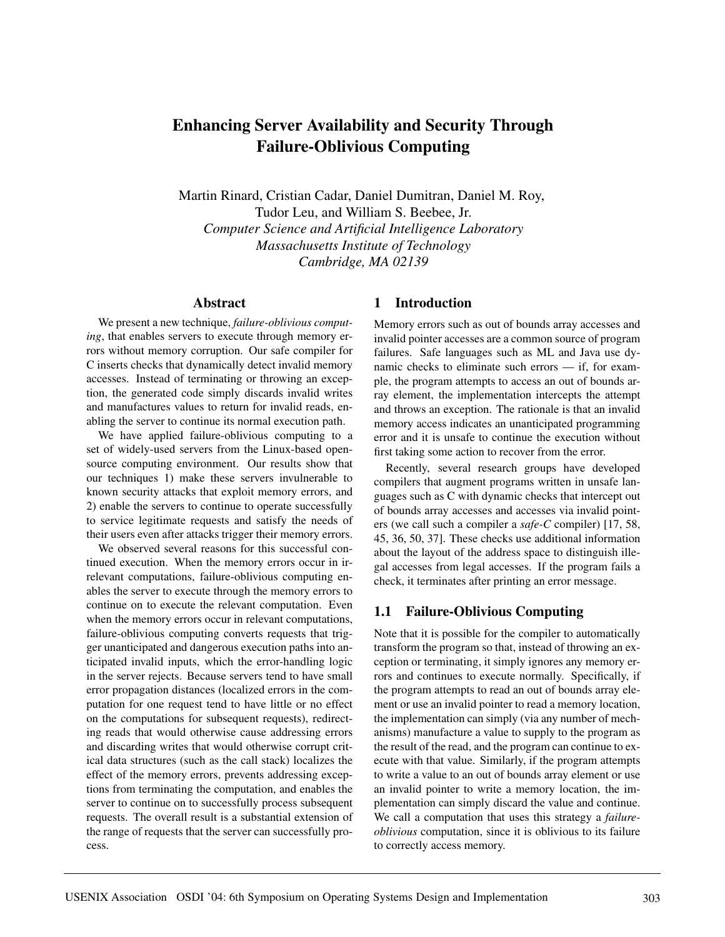# **Enhancing Server Availability and Security Through Failure-Oblivious Computing**

Martin Rinard, Cristian Cadar, Daniel Dumitran, Daniel M. Roy, Tudor Leu, and William S. Beebee, Jr. *Computer Science and Artificial Intelligence Laboratory Massachusetts Institute of Technology Cambridge, MA 02139*

#### **Abstract**

We present a new technique, *failure-oblivious computing*, that enables servers to execute through memory errors without memory corruption. Our safe compiler for C inserts checks that dynamically detect invalid memory accesses. Instead of terminating or throwing an exception, the generated code simply discards invalid writes and manufactures values to return for invalid reads, enabling the server to continue its normal execution path.

We have applied failure-oblivious computing to a set of widely-used servers from the Linux-based opensource computing environment. Our results show that our techniques 1) make these servers invulnerable to known security attacks that exploit memory errors, and 2) enable the servers to continue to operate successfully to service legitimate requests and satisfy the needs of their users even after attacks trigger their memory errors.

We observed several reasons for this successful continued execution. When the memory errors occur in irrelevant computations, failure-oblivious computing enables the server to execute through the memory errors to continue on to execute the relevant computation. Even when the memory errors occur in relevant computations, failure-oblivious computing converts requests that trigger unanticipated and dangerous execution paths into anticipated invalid inputs, which the error-handling logic in the server rejects. Because servers tend to have small error propagation distances (localized errors in the computation for one request tend to have little or no effect on the computations for subsequent requests), redirecting reads that would otherwise cause addressing errors and discarding writes that would otherwise corrupt critical data structures (such as the call stack) localizes the effect of the memory errors, prevents addressing exceptions from terminating the computation, and enables the server to continue on to successfully process subsequent requests. The overall result is a substantial extension of the range of requests that the server can successfully process.

### **1 Introduction**

Memory errors such as out of bounds array accesses and invalid pointer accesses are a common source of program failures. Safe languages such as ML and Java use dynamic checks to eliminate such errors — if, for example, the program attempts to access an out of bounds array element, the implementation intercepts the attempt and throws an exception. The rationale is that an invalid memory access indicates an unanticipated programming error and it is unsafe to continue the execution without first taking some action to recover from the error.

Recently, several research groups have developed compilers that augment programs written in unsafe languages such as C with dynamic checks that intercept out of bounds array accesses and accesses via invalid pointers (we call such a compiler a *safe-C* compiler) [17, 58, 45, 36, 50, 37]. These checks use additional information about the layout of the address space to distinguish illegal accesses from legal accesses. If the program fails a check, it terminates after printing an error message.

### **1.1 Failure-Oblivious Computing**

Note that it is possible for the compiler to automatically transform the program so that, instead of throwing an exception or terminating, it simply ignores any memory errors and continues to execute normally. Specifically, if the program attempts to read an out of bounds array element or use an invalid pointer to read a memory location, the implementation can simply (via any number of mechanisms) manufacture a value to supply to the program as the result of the read, and the program can continue to execute with that value. Similarly, if the program attempts to write a value to an out of bounds array element or use an invalid pointer to write a memory location, the implementation can simply discard the value and continue. We call a computation that uses this strategy a *failureoblivious* computation, since it is oblivious to its failure to correctly access memory.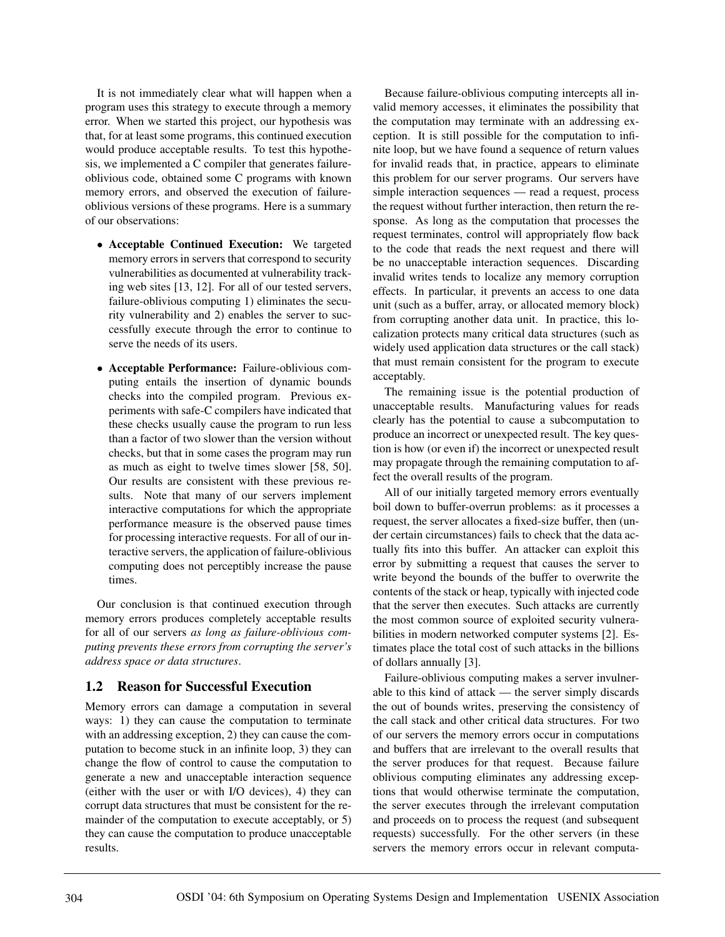It is not immediately clear what will happen when a program uses this strategy to execute through a memory error. When we started this project, our hypothesis was that, for at least some programs, this continued execution would produce acceptable results. To test this hypothesis, we implemented a C compiler that generates failureoblivious code, obtained some C programs with known memory errors, and observed the execution of failureoblivious versions of these programs. Here is a summary of our observations:

- **Acceptable Continued Execution:** We targeted memory errors in servers that correspond to security vulnerabilities as documented at vulnerability tracking web sites [13, 12]. For all of our tested servers, failure-oblivious computing 1) eliminates the security vulnerability and 2) enables the server to successfully execute through the error to continue to serve the needs of its users.
- **Acceptable Performance:** Failure-oblivious computing entails the insertion of dynamic bounds checks into the compiled program. Previous experiments with safe-C compilers have indicated that these checks usually cause the program to run less than a factor of two slower than the version without checks, but that in some cases the program may run as much as eight to twelve times slower [58, 50]. Our results are consistent with these previous results. Note that many of our servers implement interactive computations for which the appropriate performance measure is the observed pause times for processing interactive requests. For all of our interactive servers, the application of failure-oblivious computing does not perceptibly increase the pause times.

Our conclusion is that continued execution through memory errors produces completely acceptable results for all of our servers *as long as failure-oblivious computing prevents these errors from corrupting the server's address space or data structures*.

## **1.2 Reason for Successful Execution**

Memory errors can damage a computation in several ways: 1) they can cause the computation to terminate with an addressing exception, 2) they can cause the computation to become stuck in an infinite loop, 3) they can change the flow of control to cause the computation to generate a new and unacceptable interaction sequence (either with the user or with I/O devices), 4) they can corrupt data structures that must be consistent for the remainder of the computation to execute acceptably, or 5) they can cause the computation to produce unacceptable results.

Because failure-oblivious computing intercepts all invalid memory accesses, it eliminates the possibility that the computation may terminate with an addressing exception. It is still possible for the computation to infinite loop, but we have found a sequence of return values for invalid reads that, in practice, appears to eliminate this problem for our server programs. Our servers have simple interaction sequences — read a request, process the request without further interaction, then return the response. As long as the computation that processes the request terminates, control will appropriately flow back to the code that reads the next request and there will be no unacceptable interaction sequences. Discarding invalid writes tends to localize any memory corruption effects. In particular, it prevents an access to one data unit (such as a buffer, array, or allocated memory block) from corrupting another data unit. In practice, this localization protects many critical data structures (such as widely used application data structures or the call stack) that must remain consistent for the program to execute acceptably.

The remaining issue is the potential production of unacceptable results. Manufacturing values for reads clearly has the potential to cause a subcomputation to produce an incorrect or unexpected result. The key question is how (or even if) the incorrect or unexpected result may propagate through the remaining computation to affect the overall results of the program.

All of our initially targeted memory errors eventually boil down to buffer-overrun problems: as it processes a request, the server allocates a fixed-size buffer, then (under certain circumstances) fails to check that the data actually fits into this buffer. An attacker can exploit this error by submitting a request that causes the server to write beyond the bounds of the buffer to overwrite the contents of the stack or heap, typically with injected code that the server then executes. Such attacks are currently the most common source of exploited security vulnerabilities in modern networked computer systems [2]. Estimates place the total cost of such attacks in the billions of dollars annually [3].

Failure-oblivious computing makes a server invulnerable to this kind of attack — the server simply discards the out of bounds writes, preserving the consistency of the call stack and other critical data structures. For two of our servers the memory errors occur in computations and buffers that are irrelevant to the overall results that the server produces for that request. Because failure oblivious computing eliminates any addressing exceptions that would otherwise terminate the computation, the server executes through the irrelevant computation and proceeds on to process the request (and subsequent requests) successfully. For the other servers (in these servers the memory errors occur in relevant computa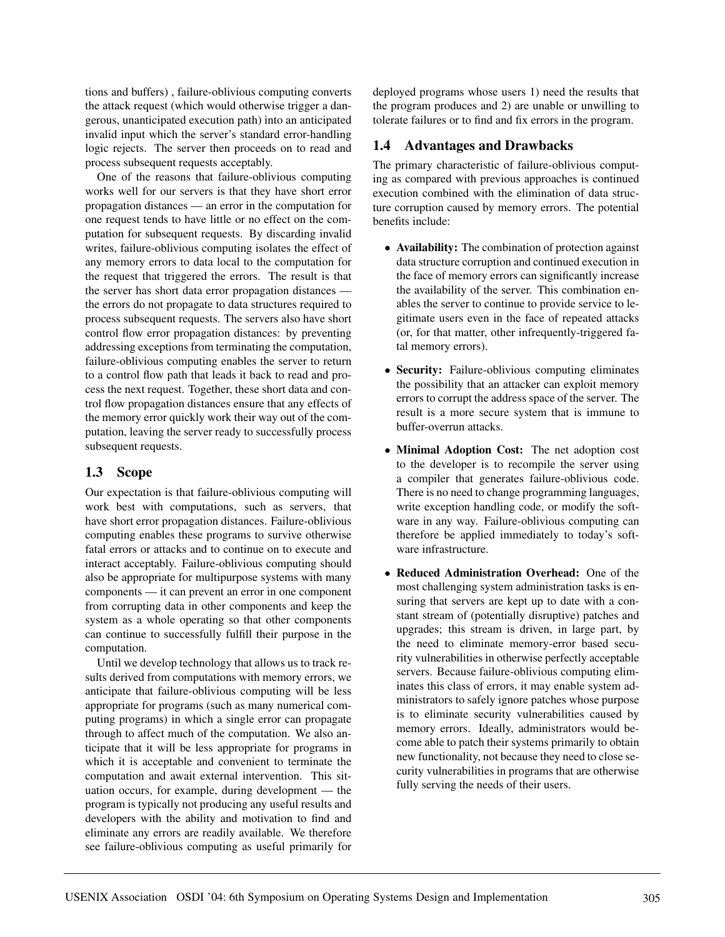tions and buffers) , failure-oblivious computing converts the attack request (which would otherwise trigger a dangerous, unanticipated execution path) into an anticipated invalid input which the server's standard error-handling logic rejects. The server then proceeds on to read and process subsequent requests acceptably.

One of the reasons that failure-oblivious computing works well for our servers is that they have short error propagation distances — an error in the computation for one request tends to have little or no effect on the computation for subsequent requests. By discarding invalid writes, failure-oblivious computing isolates the effect of any memory errors to data local to the computation for the request that triggered the errors. The result is that the server has short data error propagation distances the errors do not propagate to data structures required to process subsequent requests. The servers also have short control flow error propagation distances: by preventing addressing exceptions from terminating the computation, failure-oblivious computing enables the server to return to a control flow path that leads it back to read and process the next request. Together, these short data and control flow propagation distances ensure that any effects of the memory error quickly work their way out of the computation, leaving the server ready to successfully process subsequent requests.

## **1.3 Scope**

Our expectation is that failure-oblivious computing will work best with computations, such as servers, that have short error propagation distances. Failure-oblivious computing enables these programs to survive otherwise fatal errors or attacks and to continue on to execute and interact acceptably. Failure-oblivious computing should also be appropriate for multipurpose systems with many components — it can prevent an error in one component from corrupting data in other components and keep the system as a whole operating so that other components can continue to successfully fulfill their purpose in the computation.

Until we develop technology that allows us to track results derived from computations with memory errors, we anticipate that failure-oblivious computing will be less appropriate for programs (such as many numerical computing programs) in which a single error can propagate through to affect much of the computation. We also anticipate that it will be less appropriate for programs in which it is acceptable and convenient to terminate the computation and await external intervention. This situation occurs, for example, during development — the program is typically not producing any useful results and developers with the ability and motivation to find and eliminate any errors are readily available. We therefore see failure-oblivious computing as useful primarily for

deployed programs whose users 1) need the results that the program produces and 2) are unable or unwilling to tolerate failures or to find and fix errors in the program.

# **1.4 Advantages and Drawbacks**

The primary characteristic of failure-oblivious computing as compared with previous approaches is continued execution combined with the elimination of data structure corruption caused by memory errors. The potential benefits include:

- **Availability:** The combination of protection against data structure corruption and continued execution in the face of memory errors can significantly increase the availability of the server. This combination enables the server to continue to provide service to legitimate users even in the face of repeated attacks (or, for that matter, other infrequently-triggered fatal memory errors).
- **Security:** Failure-oblivious computing eliminates the possibility that an attacker can exploit memory errors to corrupt the address space of the server. The result is a more secure system that is immune to buffer-overrun attacks.
- **Minimal Adoption Cost:** The net adoption cost to the developer is to recompile the server using a compiler that generates failure-oblivious code. There is no need to change programming languages, write exception handling code, or modify the software in any way. Failure-oblivious computing can therefore be applied immediately to today's software infrastructure.
- **Reduced Administration Overhead:** One of the most challenging system administration tasks is ensuring that servers are kept up to date with a constant stream of (potentially disruptive) patches and upgrades; this stream is driven, in large part, by the need to eliminate memory-error based security vulnerabilities in otherwise perfectly acceptable servers. Because failure-oblivious computing eliminates this class of errors, it may enable system administrators to safely ignore patches whose purpose is to eliminate security vulnerabilities caused by memory errors. Ideally, administrators would become able to patch their systems primarily to obtain new functionality, not because they need to close security vulnerabilities in programs that are otherwise fully serving the needs of their users.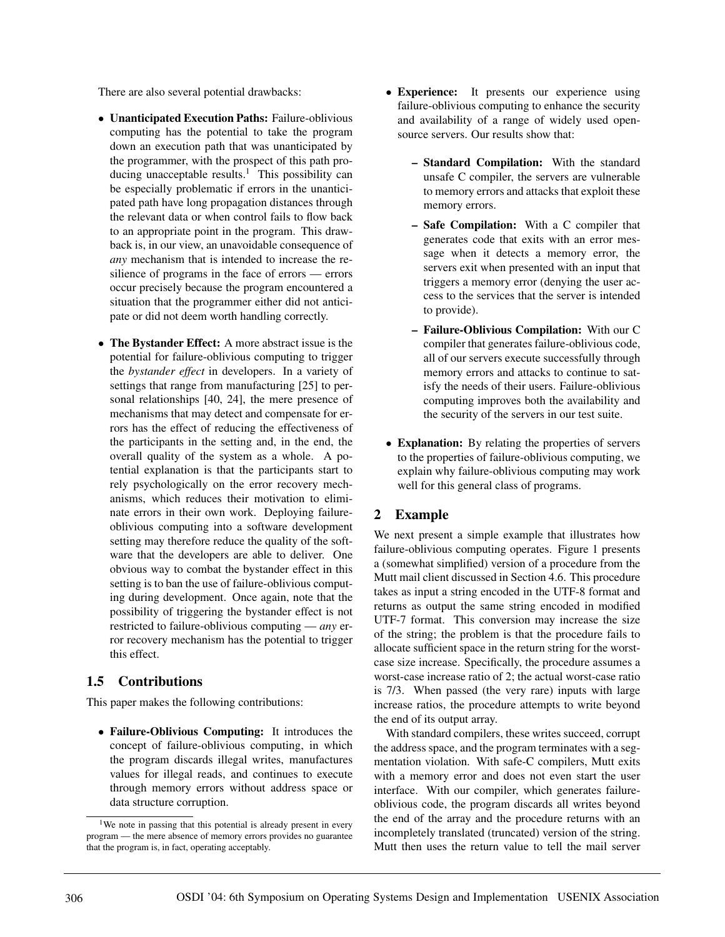There are also several potential drawbacks:

- **Unanticipated Execution Paths:** Failure-oblivious computing has the potential to take the program down an execution path that was unanticipated by the programmer, with the prospect of this path producing unacceptable results.<sup>1</sup> This possibility can be especially problematic if errors in the unanticipated path have long propagation distances through the relevant data or when control fails to flow back to an appropriate point in the program. This drawback is, in our view, an unavoidable consequence of *any* mechanism that is intended to increase the resilience of programs in the face of errors — errors occur precisely because the program encountered a situation that the programmer either did not anticipate or did not deem worth handling correctly.
- **The Bystander Effect:** A more abstract issue is the potential for failure-oblivious computing to trigger the *bystander effect* in developers. In a variety of settings that range from manufacturing [25] to personal relationships [40, 24], the mere presence of mechanisms that may detect and compensate for errors has the effect of reducing the effectiveness of the participants in the setting and, in the end, the overall quality of the system as a whole. A potential explanation is that the participants start to rely psychologically on the error recovery mechanisms, which reduces their motivation to eliminate errors in their own work. Deploying failureoblivious computing into a software development setting may therefore reduce the quality of the software that the developers are able to deliver. One obvious way to combat the bystander effect in this setting is to ban the use of failure-oblivious computing during development. Once again, note that the possibility of triggering the bystander effect is not restricted to failure-oblivious computing — *any* error recovery mechanism has the potential to trigger this effect.

## **1.5 Contributions**

This paper makes the following contributions:

• **Failure-Oblivious Computing:** It introduces the concept of failure-oblivious computing, in which the program discards illegal writes, manufactures values for illegal reads, and continues to execute through memory errors without address space or data structure corruption.

- **Experience:** It presents our experience using failure-oblivious computing to enhance the security and availability of a range of widely used opensource servers. Our results show that:
	- **Standard Compilation:** With the standard unsafe C compiler, the servers are vulnerable to memory errors and attacks that exploit these memory errors.
	- **Safe Compilation:** With a C compiler that generates code that exits with an error message when it detects a memory error, the servers exit when presented with an input that triggers a memory error (denying the user access to the services that the server is intended to provide).
	- **Failure-Oblivious Compilation:** With our C compiler that generates failure-oblivious code, all of our servers execute successfully through memory errors and attacks to continue to satisfy the needs of their users. Failure-oblivious computing improves both the availability and the security of the servers in our test suite.
- **Explanation:** By relating the properties of servers to the properties of failure-oblivious computing, we explain why failure-oblivious computing may work well for this general class of programs.

# **2 Example**

We next present a simple example that illustrates how failure-oblivious computing operates. Figure 1 presents a (somewhat simplified) version of a procedure from the Mutt mail client discussed in Section 4.6. This procedure takes as input a string encoded in the UTF-8 format and returns as output the same string encoded in modified UTF-7 format. This conversion may increase the size of the string; the problem is that the procedure fails to allocate sufficient space in the return string for the worstcase size increase. Specifically, the procedure assumes a worst-case increase ratio of 2; the actual worst-case ratio is 7/3. When passed (the very rare) inputs with large increase ratios, the procedure attempts to write beyond the end of its output array.

With standard compilers, these writes succeed, corrupt the address space, and the program terminates with a segmentation violation. With safe-C compilers, Mutt exits with a memory error and does not even start the user interface. With our compiler, which generates failureoblivious code, the program discards all writes beyond the end of the array and the procedure returns with an incompletely translated (truncated) version of the string. Mutt then uses the return value to tell the mail server

<sup>&</sup>lt;sup>1</sup>We note in passing that this potential is already present in every program — the mere absence of memory errors provides no guarantee that the program is, in fact, operating acceptably.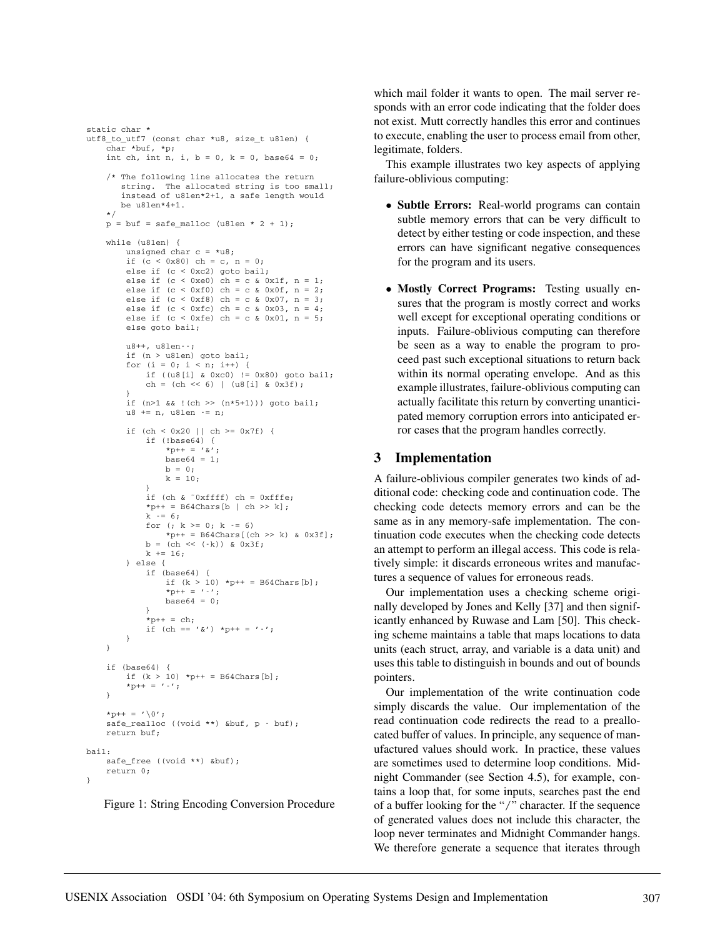```
static char *
utf8_to_utf7 (const char *u8, size_t u8len) {
    char *buf, *p;
    int ch, int n, i, b = 0, k = 0, base64 = 0;
    /* The following line allocates the return
       string. The allocated string is too small;
       instead of u8len*2+1, a safe length would
       be u8len*4+1.
    */
    p = but = safe\_malloc (u8len * 2 + 1);while (u8len) {
        unsigned char c = *u8;
        if (c < 0x80) ch = c, n = 0;
        else if (c < 0xc2) goto bail;
        else if (c < 0xe0) ch = c & 0x1f, n = 1;
        else if (c < 0xf0) ch = c & 0x0f, n = 2;
        else if (c < 0xf8) ch = c & 0x07, n = 3;
        else if (c < 0xfc) ch = c & 0x03, n = 4;
        else if (c < 0xfe) ch = c & 0x01, n = 5;
        else goto bail;
        u8++, u8len--;
        if (n > u8len) goto bail;
        for (i = 0; i < n; i++) {
            if ((u8[i] \& 0xc0) != 0x80) goto bail;
            ch = (ch \le 6) | (u8[i] & 0x3f);}
if (n>1 && !(ch >> (n*5+1))) goto bail;
        u8 += n, u8len -= n;
        if (ch < 0x20 || ch >= 0x7f) {
            if (!base64) {
                 *_{p++} = ' \& ';base64 = 1;b = 0;k = 10;}
if (ch & ˜0xffff) ch = 0xfffe;
            *p++ = B64Chars[b | ch >> k];k = 6;for (; k \ge 0; k = 6)
                *p++ = B64Chars[(ch \gg k) & 0x3f];b = (ch \ll (-k)) & 0x3f;k += 16;
        } else {
            if (base64) {
                if (k > 10) *p++ = B64Chars[b];
                 *_{p++} = ' - ';
                base64 = 0:
            }
             *p++ = ch;<br>if (ch == '&') *p++ = '-'';}
    }
    if (base64) {
        if (k > 10) *p++ = B64Chars[b];
        *_{p++} = ' - ',}
    *p++ = ' \ 0';
    safe_realloc ((void **) &buf, p - buf);
    return buf;
bail:
    safe_free ((void **) &buf);
    return 0;
}
```


which mail folder it wants to open. The mail server responds with an error code indicating that the folder does not exist. Mutt correctly handles this error and continues to execute, enabling the user to process email from other, legitimate, folders.

This example illustrates two key aspects of applying failure-oblivious computing:

- **Subtle Errors:** Real-world programs can contain subtle memory errors that can be very difficult to detect by either testing or code inspection, and these errors can have significant negative consequences for the program and its users.
- **Mostly Correct Programs:** Testing usually ensures that the program is mostly correct and works well except for exceptional operating conditions or inputs. Failure-oblivious computing can therefore be seen as a way to enable the program to proceed past such exceptional situations to return back within its normal operating envelope. And as this example illustrates, failure-oblivious computing can actually facilitate this return by converting unanticipated memory corruption errors into anticipated error cases that the program handles correctly.

## **3 Implementation**

A failure-oblivious compiler generates two kinds of additional code: checking code and continuation code. The checking code detects memory errors and can be the same as in any memory-safe implementation. The continuation code executes when the checking code detects an attempt to perform an illegal access. This code is relatively simple: it discards erroneous writes and manufactures a sequence of values for erroneous reads.

Our implementation uses a checking scheme originally developed by Jones and Kelly [37] and then significantly enhanced by Ruwase and Lam [50]. This checking scheme maintains a table that maps locations to data units (each struct, array, and variable is a data unit) and uses this table to distinguish in bounds and out of bounds pointers.

Our implementation of the write continuation code simply discards the value. Our implementation of the read continuation code redirects the read to a preallocated buffer of values. In principle, any sequence of manufactured values should work. In practice, these values are sometimes used to determine loop conditions. Midnight Commander (see Section 4.5), for example, contains a loop that, for some inputs, searches past the end of a buffer looking for the "/" character. If the sequence of generated values does not include this character, the loop never terminates and Midnight Commander hangs. We therefore generate a sequence that iterates through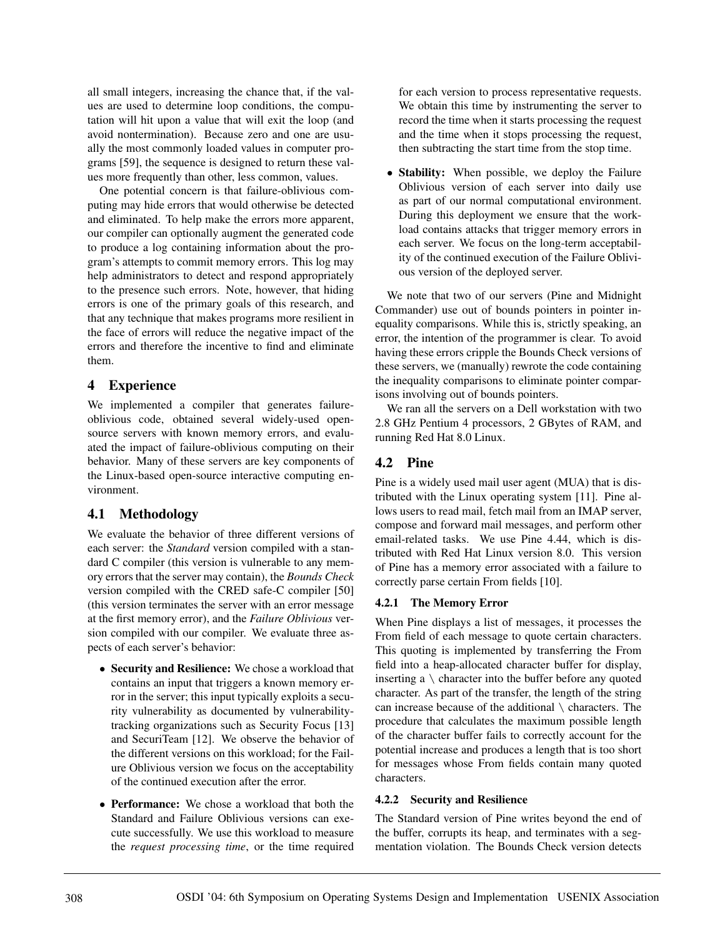all small integers, increasing the chance that, if the values are used to determine loop conditions, the computation will hit upon a value that will exit the loop (and avoid nontermination). Because zero and one are usually the most commonly loaded values in computer programs [59], the sequence is designed to return these values more frequently than other, less common, values.

One potential concern is that failure-oblivious computing may hide errors that would otherwise be detected and eliminated. To help make the errors more apparent, our compiler can optionally augment the generated code to produce a log containing information about the program's attempts to commit memory errors. This log may help administrators to detect and respond appropriately to the presence such errors. Note, however, that hiding errors is one of the primary goals of this research, and that any technique that makes programs more resilient in the face of errors will reduce the negative impact of the errors and therefore the incentive to find and eliminate them.

## **4 Experience**

We implemented a compiler that generates failureoblivious code, obtained several widely-used opensource servers with known memory errors, and evaluated the impact of failure-oblivious computing on their behavior. Many of these servers are key components of the Linux-based open-source interactive computing environment.

# **4.1 Methodology**

We evaluate the behavior of three different versions of each server: the *Standard* version compiled with a standard C compiler (this version is vulnerable to any memory errors that the server may contain), the *Bounds Check* version compiled with the CRED safe-C compiler [50] (this version terminates the server with an error message at the first memory error), and the *Failure Oblivious* version compiled with our compiler. We evaluate three aspects of each server's behavior:

- **Security and Resilience:** We chose a workload that contains an input that triggers a known memory error in the server; this input typically exploits a security vulnerability as documented by vulnerabilitytracking organizations such as Security Focus [13] and SecuriTeam [12]. We observe the behavior of the different versions on this workload; for the Failure Oblivious version we focus on the acceptability of the continued execution after the error.
- **Performance:** We chose a workload that both the Standard and Failure Oblivious versions can execute successfully. We use this workload to measure the *request processing time*, or the time required

for each version to process representative requests. We obtain this time by instrumenting the server to record the time when it starts processing the request and the time when it stops processing the request, then subtracting the start time from the stop time.

• **Stability:** When possible, we deploy the Failure Oblivious version of each server into daily use as part of our normal computational environment. During this deployment we ensure that the workload contains attacks that trigger memory errors in each server. We focus on the long-term acceptability of the continued execution of the Failure Oblivious version of the deployed server.

We note that two of our servers (Pine and Midnight Commander) use out of bounds pointers in pointer inequality comparisons. While this is, strictly speaking, an error, the intention of the programmer is clear. To avoid having these errors cripple the Bounds Check versions of these servers, we (manually) rewrote the code containing the inequality comparisons to eliminate pointer comparisons involving out of bounds pointers.

We ran all the servers on a Dell workstation with two 2.8 GHz Pentium 4 processors, 2 GBytes of RAM, and running Red Hat 8.0 Linux.

# **4.2 Pine**

Pine is a widely used mail user agent (MUA) that is distributed with the Linux operating system [11]. Pine allows users to read mail, fetch mail from an IMAP server, compose and forward mail messages, and perform other email-related tasks. We use Pine 4.44, which is distributed with Red Hat Linux version 8.0. This version of Pine has a memory error associated with a failure to correctly parse certain From fields [10].

## **4.2.1 The Memory Error**

When Pine displays a list of messages, it processes the From field of each message to quote certain characters. This quoting is implemented by transferring the From field into a heap-allocated character buffer for display, inserting a  $\setminus$  character into the buffer before any quoted character. As part of the transfer, the length of the string can increase because of the additional \ characters. The procedure that calculates the maximum possible length of the character buffer fails to correctly account for the potential increase and produces a length that is too short for messages whose From fields contain many quoted characters.

## **4.2.2 Security and Resilience**

The Standard version of Pine writes beyond the end of the buffer, corrupts its heap, and terminates with a segmentation violation. The Bounds Check version detects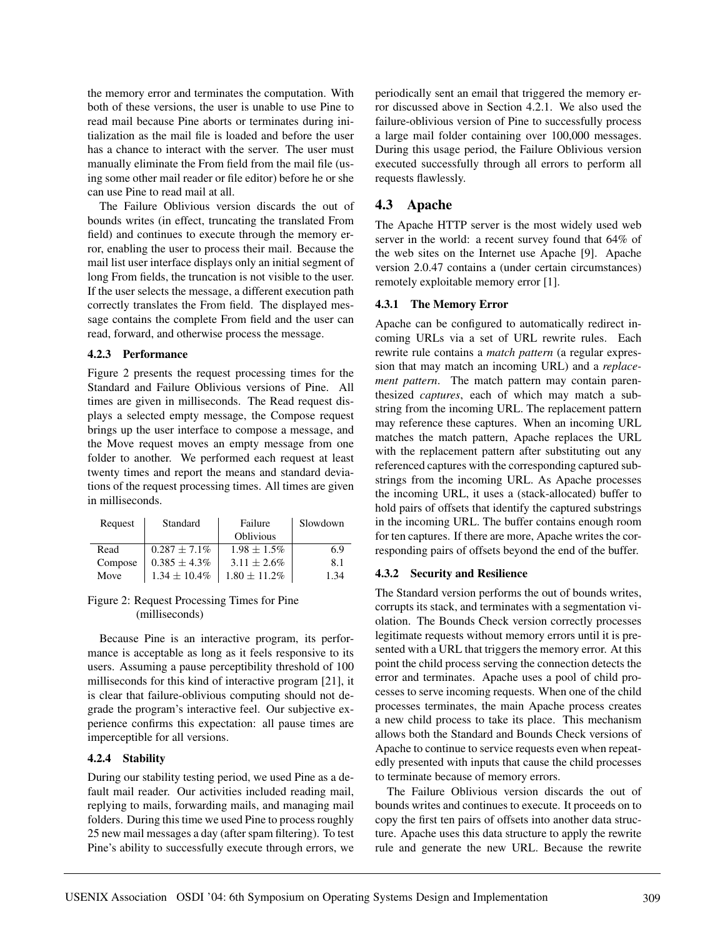the memory error and terminates the computation. With both of these versions, the user is unable to use Pine to read mail because Pine aborts or terminates during initialization as the mail file is loaded and before the user has a chance to interact with the server. The user must manually eliminate the From field from the mail file (using some other mail reader or file editor) before he or she can use Pine to read mail at all.

The Failure Oblivious version discards the out of bounds writes (in effect, truncating the translated From field) and continues to execute through the memory error, enabling the user to process their mail. Because the mail list user interface displays only an initial segment of long From fields, the truncation is not visible to the user. If the user selects the message, a different execution path correctly translates the From field. The displayed message contains the complete From field and the user can read, forward, and otherwise process the message.

#### **4.2.3 Performance**

Figure 2 presents the request processing times for the Standard and Failure Oblivious versions of Pine. All times are given in milliseconds. The Read request displays a selected empty message, the Compose request brings up the user interface to compose a message, and the Move request moves an empty message from one folder to another. We performed each request at least twenty times and report the means and standard deviations of the request processing times. All times are given in milliseconds.

| Request | Standard          | Failure           | Slowdown |
|---------|-------------------|-------------------|----------|
|         |                   | Oblivious         |          |
| Read    | $0.287 \pm 7.1\%$ | $1.98 \pm 1.5\%$  | 6.9      |
| Compose | $0.385 \pm 4.3\%$ | $3.11 \pm 2.6\%$  | 8.1      |
| Move    | $1.34 \pm 10.4\%$ | $1.80 \pm 11.2\%$ | 1.34     |

#### Figure 2: Request Processing Times for Pine (milliseconds)

Because Pine is an interactive program, its performance is acceptable as long as it feels responsive to its users. Assuming a pause perceptibility threshold of 100 milliseconds for this kind of interactive program [21], it is clear that failure-oblivious computing should not degrade the program's interactive feel. Our subjective experience confirms this expectation: all pause times are imperceptible for all versions.

#### **4.2.4 Stability**

During our stability testing period, we used Pine as a default mail reader. Our activities included reading mail, replying to mails, forwarding mails, and managing mail folders. During this time we used Pine to process roughly 25 new mail messages a day (after spam filtering). To test Pine's ability to successfully execute through errors, we

periodically sent an email that triggered the memory error discussed above in Section 4.2.1. We also used the failure-oblivious version of Pine to successfully process a large mail folder containing over 100,000 messages. During this usage period, the Failure Oblivious version executed successfully through all errors to perform all requests flawlessly.

## **4.3 Apache**

The Apache HTTP server is the most widely used web server in the world: a recent survey found that 64% of the web sites on the Internet use Apache [9]. Apache version 2.0.47 contains a (under certain circumstances) remotely exploitable memory error [1].

#### **4.3.1 The Memory Error**

Apache can be configured to automatically redirect incoming URLs via a set of URL rewrite rules. Each rewrite rule contains a *match pattern* (a regular expression that may match an incoming URL) and a *replacement pattern*. The match pattern may contain parenthesized *captures*, each of which may match a substring from the incoming URL. The replacement pattern may reference these captures. When an incoming URL matches the match pattern, Apache replaces the URL with the replacement pattern after substituting out any referenced captures with the corresponding captured substrings from the incoming URL. As Apache processes the incoming URL, it uses a (stack-allocated) buffer to hold pairs of offsets that identify the captured substrings in the incoming URL. The buffer contains enough room for ten captures. If there are more, Apache writes the corresponding pairs of offsets beyond the end of the buffer.

#### **4.3.2 Security and Resilience**

The Standard version performs the out of bounds writes, corrupts its stack, and terminates with a segmentation violation. The Bounds Check version correctly processes legitimate requests without memory errors until it is presented with a URL that triggers the memory error. At this point the child process serving the connection detects the error and terminates. Apache uses a pool of child processes to serve incoming requests. When one of the child processes terminates, the main Apache process creates a new child process to take its place. This mechanism allows both the Standard and Bounds Check versions of Apache to continue to service requests even when repeatedly presented with inputs that cause the child processes to terminate because of memory errors.

The Failure Oblivious version discards the out of bounds writes and continues to execute. It proceeds on to copy the first ten pairs of offsets into another data structure. Apache uses this data structure to apply the rewrite rule and generate the new URL. Because the rewrite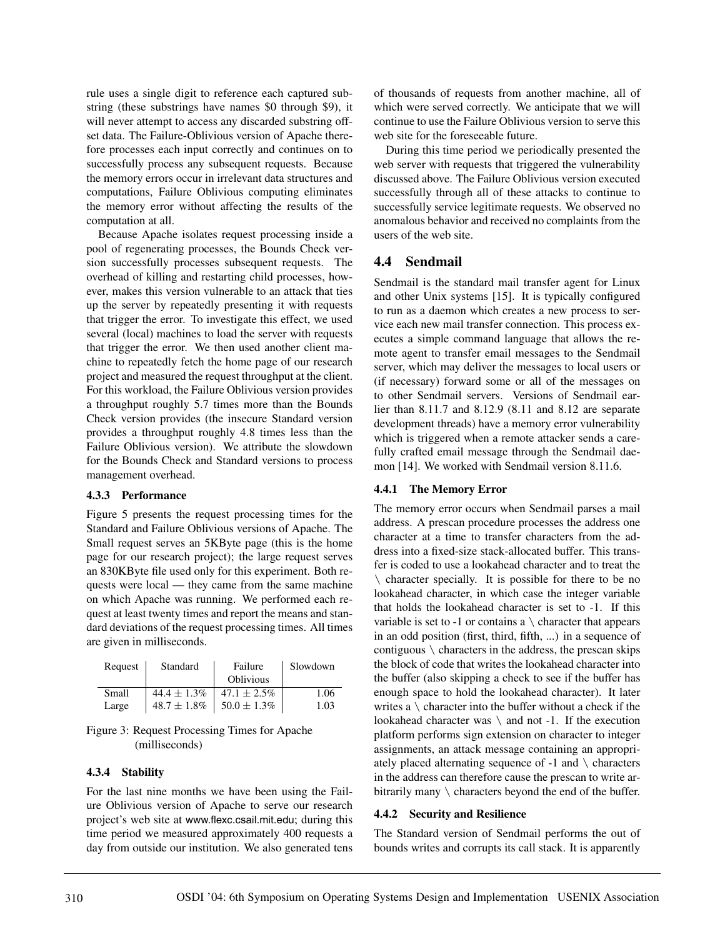rule uses a single digit to reference each captured substring (these substrings have names \$0 through \$9), it will never attempt to access any discarded substring offset data. The Failure-Oblivious version of Apache therefore processes each input correctly and continues on to successfully process any subsequent requests. Because the memory errors occur in irrelevant data structures and computations, Failure Oblivious computing eliminates the memory error without affecting the results of the computation at all.

Because Apache isolates request processing inside a pool of regenerating processes, the Bounds Check version successfully processes subsequent requests. The overhead of killing and restarting child processes, however, makes this version vulnerable to an attack that ties up the server by repeatedly presenting it with requests that trigger the error. To investigate this effect, we used several (local) machines to load the server with requests that trigger the error. We then used another client machine to repeatedly fetch the home page of our research project and measured the request throughput at the client. For this workload, the Failure Oblivious version provides a throughput roughly 5.7 times more than the Bounds Check version provides (the insecure Standard version provides a throughput roughly 4.8 times less than the Failure Oblivious version). We attribute the slowdown for the Bounds Check and Standard versions to process management overhead.

#### **4.3.3 Performance**

Figure 5 presents the request processing times for the Standard and Failure Oblivious versions of Apache. The Small request serves an 5KByte page (this is the home page for our research project); the large request serves an 830KByte file used only for this experiment. Both requests were local — they came from the same machine on which Apache was running. We performed each request at least twenty times and report the means and standard deviations of the request processing times. All times are given in milliseconds.

| Request | Standard         | Failure           | Slowdown |
|---------|------------------|-------------------|----------|
|         |                  | <b>Oblivious</b>  |          |
| Small   | $44.4 \pm 1.3\%$ | $47.1 \pm 2.5\%$  | 1.06     |
| Large   | $48.7 \pm 1.8\%$ | $150.0 \pm 1.3\%$ | 1.03     |

Figure 3: Request Processing Times for Apache (milliseconds)

#### **4.3.4 Stability**

For the last nine months we have been using the Failure Oblivious version of Apache to serve our research project's web site at www.flexc.csail.mit.edu; during this time period we measured approximately 400 requests a day from outside our institution. We also generated tens of thousands of requests from another machine, all of which were served correctly. We anticipate that we will continue to use the Failure Oblivious version to serve this web site for the foreseeable future.

During this time period we periodically presented the web server with requests that triggered the vulnerability discussed above. The Failure Oblivious version executed successfully through all of these attacks to continue to successfully service legitimate requests. We observed no anomalous behavior and received no complaints from the users of the web site.

## **4.4 Sendmail**

Sendmail is the standard mail transfer agent for Linux and other Unix systems [15]. It is typically configured to run as a daemon which creates a new process to service each new mail transfer connection. This process executes a simple command language that allows the remote agent to transfer email messages to the Sendmail server, which may deliver the messages to local users or (if necessary) forward some or all of the messages on to other Sendmail servers. Versions of Sendmail earlier than 8.11.7 and 8.12.9 (8.11 and 8.12 are separate development threads) have a memory error vulnerability which is triggered when a remote attacker sends a carefully crafted email message through the Sendmail daemon [14]. We worked with Sendmail version 8.11.6.

#### **4.4.1 The Memory Error**

The memory error occurs when Sendmail parses a mail address. A prescan procedure processes the address one character at a time to transfer characters from the address into a fixed-size stack-allocated buffer. This transfer is coded to use a lookahead character and to treat the \ character specially. It is possible for there to be no lookahead character, in which case the integer variable that holds the lookahead character is set to -1. If this variable is set to -1 or contains a  $\setminus$  character that appears in an odd position (first, third, fifth, ...) in a sequence of contiguous  $\setminus$  characters in the address, the prescan skips the block of code that writes the lookahead character into the buffer (also skipping a check to see if the buffer has enough space to hold the lookahead character). It later writes a  $\setminus$  character into the buffer without a check if the lookahead character was  $\setminus$  and not -1. If the execution platform performs sign extension on character to integer assignments, an attack message containing an appropriately placed alternating sequence of  $-1$  and  $\setminus$  characters in the address can therefore cause the prescan to write arbitrarily many \ characters beyond the end of the buffer.

#### **4.4.2 Security and Resilience**

The Standard version of Sendmail performs the out of bounds writes and corrupts its call stack. It is apparently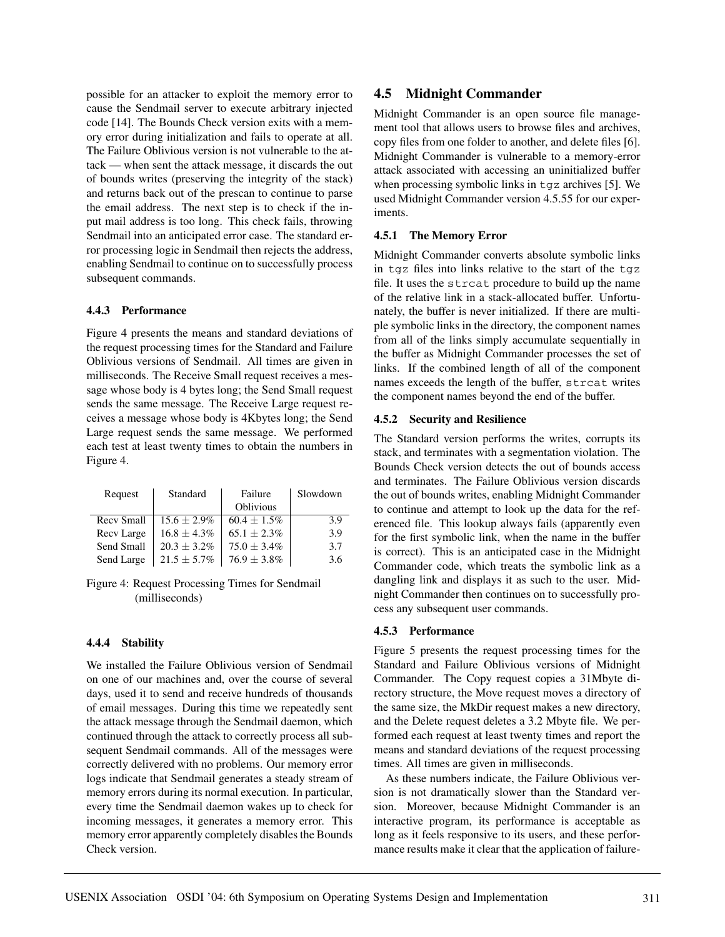possible for an attacker to exploit the memory error to cause the Sendmail server to execute arbitrary injected code [14]. The Bounds Check version exits with a memory error during initialization and fails to operate at all. The Failure Oblivious version is not vulnerable to the attack — when sent the attack message, it discards the out of bounds writes (preserving the integrity of the stack) and returns back out of the prescan to continue to parse the email address. The next step is to check if the input mail address is too long. This check fails, throwing Sendmail into an anticipated error case. The standard error processing logic in Sendmail then rejects the address, enabling Sendmail to continue on to successfully process subsequent commands.

#### **4.4.3 Performance**

Figure 4 presents the means and standard deviations of the request processing times for the Standard and Failure Oblivious versions of Sendmail. All times are given in milliseconds. The Receive Small request receives a message whose body is 4 bytes long; the Send Small request sends the same message. The Receive Large request receives a message whose body is 4Kbytes long; the Send Large request sends the same message. We performed each test at least twenty times to obtain the numbers in Figure 4.

| Request           | Standard         | Failure          | Slowdown |
|-------------------|------------------|------------------|----------|
|                   |                  | Oblivious        |          |
| <b>Recv Small</b> | $15.6 \pm 2.9\%$ | $60.4 \pm 1.5\%$ | 3.9      |
| Recv Large        | $16.8 \pm 4.3\%$ | $65.1 \pm 2.3\%$ | 3.9      |
| Send Small        | $20.3 + 3.2\%$   | $75.0 + 3.4\%$   | 3.7      |
| Send Large        | $21.5 \pm 5.7\%$ | $76.9 \pm 3.8\%$ | 3.6      |

Figure 4: Request Processing Times for Sendmail (milliseconds)

#### **4.4.4 Stability**

We installed the Failure Oblivious version of Sendmail on one of our machines and, over the course of several days, used it to send and receive hundreds of thousands of email messages. During this time we repeatedly sent the attack message through the Sendmail daemon, which continued through the attack to correctly process all subsequent Sendmail commands. All of the messages were correctly delivered with no problems. Our memory error logs indicate that Sendmail generates a steady stream of memory errors during its normal execution. In particular, every time the Sendmail daemon wakes up to check for incoming messages, it generates a memory error. This memory error apparently completely disables the Bounds Check version.

### **4.5 Midnight Commander**

Midnight Commander is an open source file management tool that allows users to browse files and archives, copy files from one folder to another, and delete files [6]. Midnight Commander is vulnerable to a memory-error attack associated with accessing an uninitialized buffer when processing symbolic links in tgz archives [5]. We used Midnight Commander version 4.5.55 for our experiments.

#### **4.5.1 The Memory Error**

Midnight Commander converts absolute symbolic links in tgz files into links relative to the start of the tgz file. It uses the strcat procedure to build up the name of the relative link in a stack-allocated buffer. Unfortunately, the buffer is never initialized. If there are multiple symbolic links in the directory, the component names from all of the links simply accumulate sequentially in the buffer as Midnight Commander processes the set of links. If the combined length of all of the component names exceeds the length of the buffer, strcat writes the component names beyond the end of the buffer.

#### **4.5.2 Security and Resilience**

The Standard version performs the writes, corrupts its stack, and terminates with a segmentation violation. The Bounds Check version detects the out of bounds access and terminates. The Failure Oblivious version discards the out of bounds writes, enabling Midnight Commander to continue and attempt to look up the data for the referenced file. This lookup always fails (apparently even for the first symbolic link, when the name in the buffer is correct). This is an anticipated case in the Midnight Commander code, which treats the symbolic link as a dangling link and displays it as such to the user. Midnight Commander then continues on to successfully process any subsequent user commands.

### **4.5.3 Performance**

Figure 5 presents the request processing times for the Standard and Failure Oblivious versions of Midnight Commander. The Copy request copies a 31Mbyte directory structure, the Move request moves a directory of the same size, the MkDir request makes a new directory, and the Delete request deletes a 3.2 Mbyte file. We performed each request at least twenty times and report the means and standard deviations of the request processing times. All times are given in milliseconds.

As these numbers indicate, the Failure Oblivious version is not dramatically slower than the Standard version. Moreover, because Midnight Commander is an interactive program, its performance is acceptable as long as it feels responsive to its users, and these performance results make it clear that the application of failure-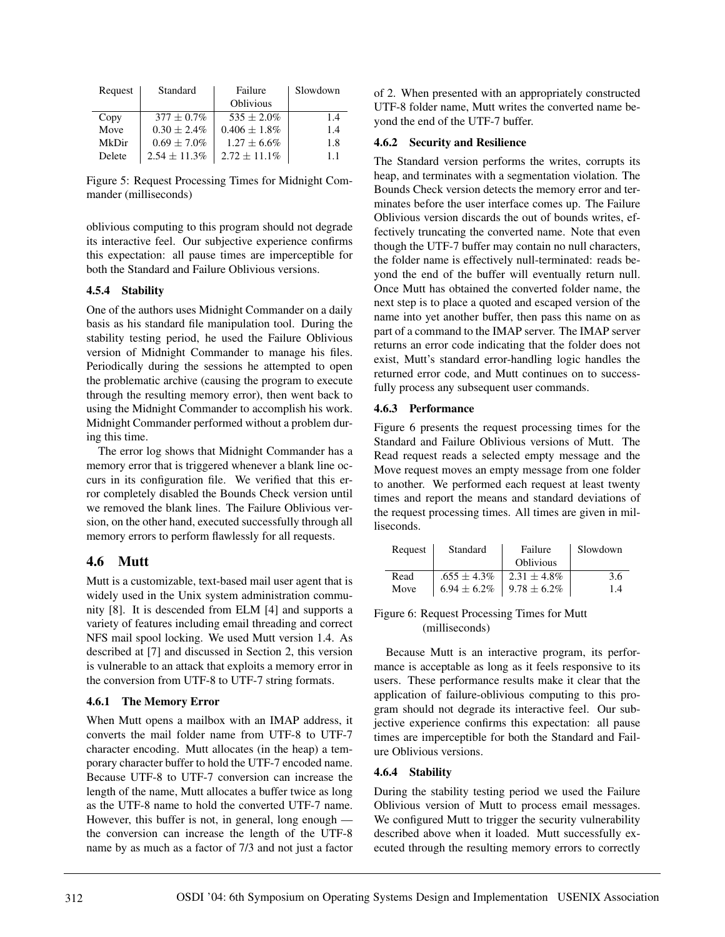| Request | Standard          | Failure           | Slowdown |
|---------|-------------------|-------------------|----------|
|         |                   | <b>Oblivious</b>  |          |
| Copy    | $377 + 0.7\%$     | $535 \pm 2.0\%$   | 1.4      |
| Move    | $0.30 \pm 2.4\%$  | $0.406 \pm 1.8\%$ | 1.4      |
| MkDir   | $0.69 + 7.0\%$    | $1.27 \pm 6.6\%$  | 1.8      |
| Delete  | $2.54 \pm 11.3\%$ | $2.72 \pm 11.1\%$ | 11       |

Figure 5: Request Processing Times for Midnight Commander (milliseconds)

oblivious computing to this program should not degrade its interactive feel. Our subjective experience confirms this expectation: all pause times are imperceptible for both the Standard and Failure Oblivious versions.

### **4.5.4 Stability**

One of the authors uses Midnight Commander on a daily basis as his standard file manipulation tool. During the stability testing period, he used the Failure Oblivious version of Midnight Commander to manage his files. Periodically during the sessions he attempted to open the problematic archive (causing the program to execute through the resulting memory error), then went back to using the Midnight Commander to accomplish his work. Midnight Commander performed without a problem during this time.

The error log shows that Midnight Commander has a memory error that is triggered whenever a blank line occurs in its configuration file. We verified that this error completely disabled the Bounds Check version until we removed the blank lines. The Failure Oblivious version, on the other hand, executed successfully through all memory errors to perform flawlessly for all requests.

### **4.6 Mutt**

Mutt is a customizable, text-based mail user agent that is widely used in the Unix system administration community [8]. It is descended from ELM [4] and supports a variety of features including email threading and correct NFS mail spool locking. We used Mutt version 1.4. As described at [7] and discussed in Section 2, this version is vulnerable to an attack that exploits a memory error in the conversion from UTF-8 to UTF-7 string formats.

### **4.6.1 The Memory Error**

When Mutt opens a mailbox with an IMAP address, it converts the mail folder name from UTF-8 to UTF-7 character encoding. Mutt allocates (in the heap) a temporary character buffer to hold the UTF-7 encoded name. Because UTF-8 to UTF-7 conversion can increase the length of the name, Mutt allocates a buffer twice as long as the UTF-8 name to hold the converted UTF-7 name. However, this buffer is not, in general, long enough the conversion can increase the length of the UTF-8 name by as much as a factor of 7/3 and not just a factor of 2. When presented with an appropriately constructed UTF-8 folder name, Mutt writes the converted name beyond the end of the UTF-7 buffer.

#### **4.6.2 Security and Resilience**

The Standard version performs the writes, corrupts its heap, and terminates with a segmentation violation. The Bounds Check version detects the memory error and terminates before the user interface comes up. The Failure Oblivious version discards the out of bounds writes, effectively truncating the converted name. Note that even though the UTF-7 buffer may contain no null characters, the folder name is effectively null-terminated: reads beyond the end of the buffer will eventually return null. Once Mutt has obtained the converted folder name, the next step is to place a quoted and escaped version of the name into yet another buffer, then pass this name on as part of a command to the IMAP server. The IMAP server returns an error code indicating that the folder does not exist, Mutt's standard error-handling logic handles the returned error code, and Mutt continues on to successfully process any subsequent user commands.

### **4.6.3 Performance**

Figure 6 presents the request processing times for the Standard and Failure Oblivious versions of Mutt. The Read request reads a selected empty message and the Move request moves an empty message from one folder to another. We performed each request at least twenty times and report the means and standard deviations of the request processing times. All times are given in milliseconds.

| Request | Standard                            | Failure          | Slowdown |
|---------|-------------------------------------|------------------|----------|
|         |                                     | <b>Oblivious</b> |          |
| Read    | $.655 \pm 4.3\%$                    | $2.31 \pm 4.8\%$ | 3.6      |
| Move    | $6.94 \pm 6.2\%$   9.78 $\pm 6.2\%$ |                  | 14       |

#### Figure 6: Request Processing Times for Mutt (milliseconds)

Because Mutt is an interactive program, its performance is acceptable as long as it feels responsive to its users. These performance results make it clear that the application of failure-oblivious computing to this program should not degrade its interactive feel. Our subjective experience confirms this expectation: all pause times are imperceptible for both the Standard and Failure Oblivious versions.

### **4.6.4 Stability**

During the stability testing period we used the Failure Oblivious version of Mutt to process email messages. We configured Mutt to trigger the security vulnerability described above when it loaded. Mutt successfully executed through the resulting memory errors to correctly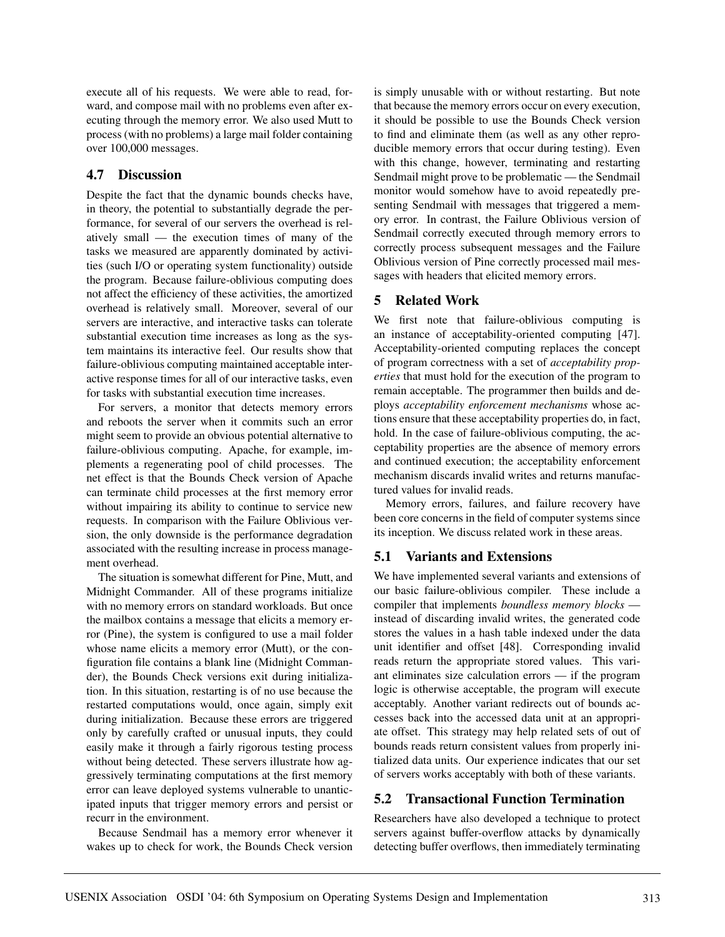execute all of his requests. We were able to read, forward, and compose mail with no problems even after executing through the memory error. We also used Mutt to process (with no problems) a large mail folder containing over 100,000 messages.

## **4.7 Discussion**

Despite the fact that the dynamic bounds checks have, in theory, the potential to substantially degrade the performance, for several of our servers the overhead is relatively small — the execution times of many of the tasks we measured are apparently dominated by activities (such I/O or operating system functionality) outside the program. Because failure-oblivious computing does not affect the efficiency of these activities, the amortized overhead is relatively small. Moreover, several of our servers are interactive, and interactive tasks can tolerate substantial execution time increases as long as the system maintains its interactive feel. Our results show that failure-oblivious computing maintained acceptable interactive response times for all of our interactive tasks, even for tasks with substantial execution time increases.

For servers, a monitor that detects memory errors and reboots the server when it commits such an error might seem to provide an obvious potential alternative to failure-oblivious computing. Apache, for example, implements a regenerating pool of child processes. The net effect is that the Bounds Check version of Apache can terminate child processes at the first memory error without impairing its ability to continue to service new requests. In comparison with the Failure Oblivious version, the only downside is the performance degradation associated with the resulting increase in process management overhead.

The situation is somewhat different for Pine, Mutt, and Midnight Commander. All of these programs initialize with no memory errors on standard workloads. But once the mailbox contains a message that elicits a memory error (Pine), the system is configured to use a mail folder whose name elicits a memory error (Mutt), or the configuration file contains a blank line (Midnight Commander), the Bounds Check versions exit during initialization. In this situation, restarting is of no use because the restarted computations would, once again, simply exit during initialization. Because these errors are triggered only by carefully crafted or unusual inputs, they could easily make it through a fairly rigorous testing process without being detected. These servers illustrate how aggressively terminating computations at the first memory error can leave deployed systems vulnerable to unanticipated inputs that trigger memory errors and persist or recurr in the environment.

Because Sendmail has a memory error whenever it wakes up to check for work, the Bounds Check version is simply unusable with or without restarting. But note that because the memory errors occur on every execution, it should be possible to use the Bounds Check version to find and eliminate them (as well as any other reproducible memory errors that occur during testing). Even with this change, however, terminating and restarting Sendmail might prove to be problematic — the Sendmail monitor would somehow have to avoid repeatedly presenting Sendmail with messages that triggered a memory error. In contrast, the Failure Oblivious version of Sendmail correctly executed through memory errors to correctly process subsequent messages and the Failure Oblivious version of Pine correctly processed mail messages with headers that elicited memory errors.

# **5 Related Work**

We first note that failure-oblivious computing is an instance of acceptability-oriented computing [47]. Acceptability-oriented computing replaces the concept of program correctness with a set of *acceptability properties* that must hold for the execution of the program to remain acceptable. The programmer then builds and deploys *acceptability enforcement mechanisms* whose actions ensure that these acceptability properties do, in fact, hold. In the case of failure-oblivious computing, the acceptability properties are the absence of memory errors and continued execution; the acceptability enforcement mechanism discards invalid writes and returns manufactured values for invalid reads.

Memory errors, failures, and failure recovery have been core concerns in the field of computer systems since its inception. We discuss related work in these areas.

# **5.1 Variants and Extensions**

We have implemented several variants and extensions of our basic failure-oblivious compiler. These include a compiler that implements *boundless memory blocks* instead of discarding invalid writes, the generated code stores the values in a hash table indexed under the data unit identifier and offset [48]. Corresponding invalid reads return the appropriate stored values. This variant eliminates size calculation errors — if the program logic is otherwise acceptable, the program will execute acceptably. Another variant redirects out of bounds accesses back into the accessed data unit at an appropriate offset. This strategy may help related sets of out of bounds reads return consistent values from properly initialized data units. Our experience indicates that our set of servers works acceptably with both of these variants.

# **5.2 Transactional Function Termination**

Researchers have also developed a technique to protect servers against buffer-overflow attacks by dynamically detecting buffer overflows, then immediately terminating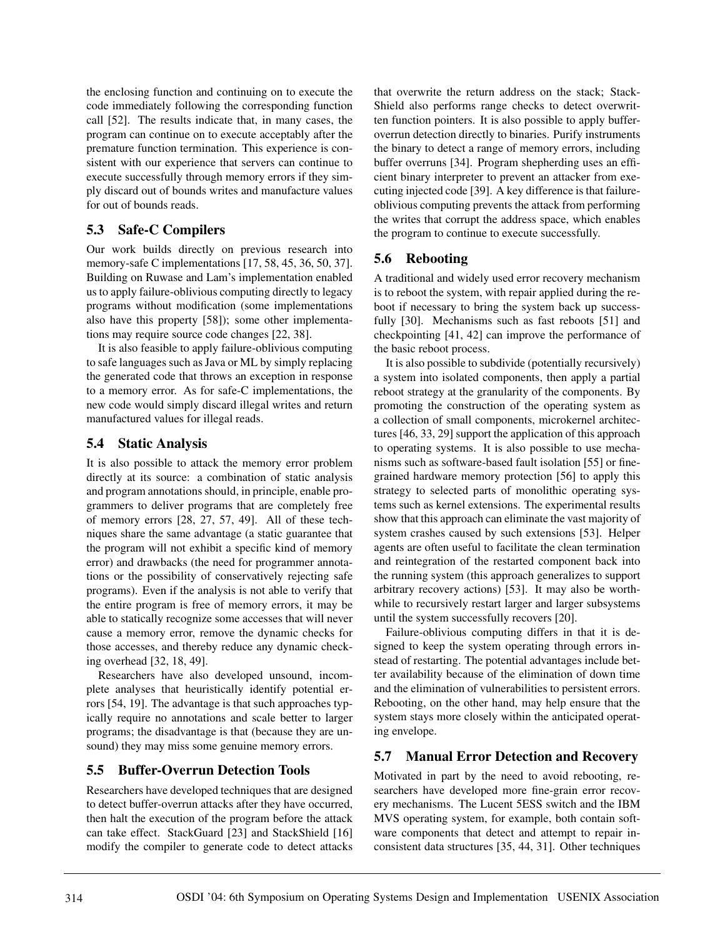the enclosing function and continuing on to execute the code immediately following the corresponding function call [52]. The results indicate that, in many cases, the program can continue on to execute acceptably after the premature function termination. This experience is consistent with our experience that servers can continue to execute successfully through memory errors if they simply discard out of bounds writes and manufacture values for out of bounds reads.

# **5.3 Safe-C Compilers**

Our work builds directly on previous research into memory-safe C implementations [17, 58, 45, 36, 50, 37]. Building on Ruwase and Lam's implementation enabled us to apply failure-oblivious computing directly to legacy programs without modification (some implementations also have this property [58]); some other implementations may require source code changes [22, 38].

It is also feasible to apply failure-oblivious computing to safe languages such as Java or ML by simply replacing the generated code that throws an exception in response to a memory error. As for safe-C implementations, the new code would simply discard illegal writes and return manufactured values for illegal reads.

## **5.4 Static Analysis**

It is also possible to attack the memory error problem directly at its source: a combination of static analysis and program annotations should, in principle, enable programmers to deliver programs that are completely free of memory errors [28, 27, 57, 49]. All of these techniques share the same advantage (a static guarantee that the program will not exhibit a specific kind of memory error) and drawbacks (the need for programmer annotations or the possibility of conservatively rejecting safe programs). Even if the analysis is not able to verify that the entire program is free of memory errors, it may be able to statically recognize some accesses that will never cause a memory error, remove the dynamic checks for those accesses, and thereby reduce any dynamic checking overhead [32, 18, 49].

Researchers have also developed unsound, incomplete analyses that heuristically identify potential errors [54, 19]. The advantage is that such approaches typically require no annotations and scale better to larger programs; the disadvantage is that (because they are unsound) they may miss some genuine memory errors.

# **5.5 Buffer-Overrun Detection Tools**

Researchers have developed techniques that are designed to detect buffer-overrun attacks after they have occurred, then halt the execution of the program before the attack can take effect. StackGuard [23] and StackShield [16] modify the compiler to generate code to detect attacks

that overwrite the return address on the stack; Stack-Shield also performs range checks to detect overwritten function pointers. It is also possible to apply bufferoverrun detection directly to binaries. Purify instruments the binary to detect a range of memory errors, including buffer overruns [34]. Program shepherding uses an efficient binary interpreter to prevent an attacker from executing injected code [39]. A key difference is that failureoblivious computing prevents the attack from performing the writes that corrupt the address space, which enables the program to continue to execute successfully.

# **5.6 Rebooting**

A traditional and widely used error recovery mechanism is to reboot the system, with repair applied during the reboot if necessary to bring the system back up successfully [30]. Mechanisms such as fast reboots [51] and checkpointing [41, 42] can improve the performance of the basic reboot process.

It is also possible to subdivide (potentially recursively) a system into isolated components, then apply a partial reboot strategy at the granularity of the components. By promoting the construction of the operating system as a collection of small components, microkernel architectures [46, 33, 29] support the application of this approach to operating systems. It is also possible to use mechanisms such as software-based fault isolation [55] or finegrained hardware memory protection [56] to apply this strategy to selected parts of monolithic operating systems such as kernel extensions. The experimental results show that this approach can eliminate the vast majority of system crashes caused by such extensions [53]. Helper agents are often useful to facilitate the clean termination and reintegration of the restarted component back into the running system (this approach generalizes to support arbitrary recovery actions) [53]. It may also be worthwhile to recursively restart larger and larger subsystems until the system successfully recovers [20].

Failure-oblivious computing differs in that it is designed to keep the system operating through errors instead of restarting. The potential advantages include better availability because of the elimination of down time and the elimination of vulnerabilities to persistent errors. Rebooting, on the other hand, may help ensure that the system stays more closely within the anticipated operating envelope.

# **5.7 Manual Error Detection and Recovery**

Motivated in part by the need to avoid rebooting, researchers have developed more fine-grain error recovery mechanisms. The Lucent 5ESS switch and the IBM MVS operating system, for example, both contain software components that detect and attempt to repair inconsistent data structures [35, 44, 31]. Other techniques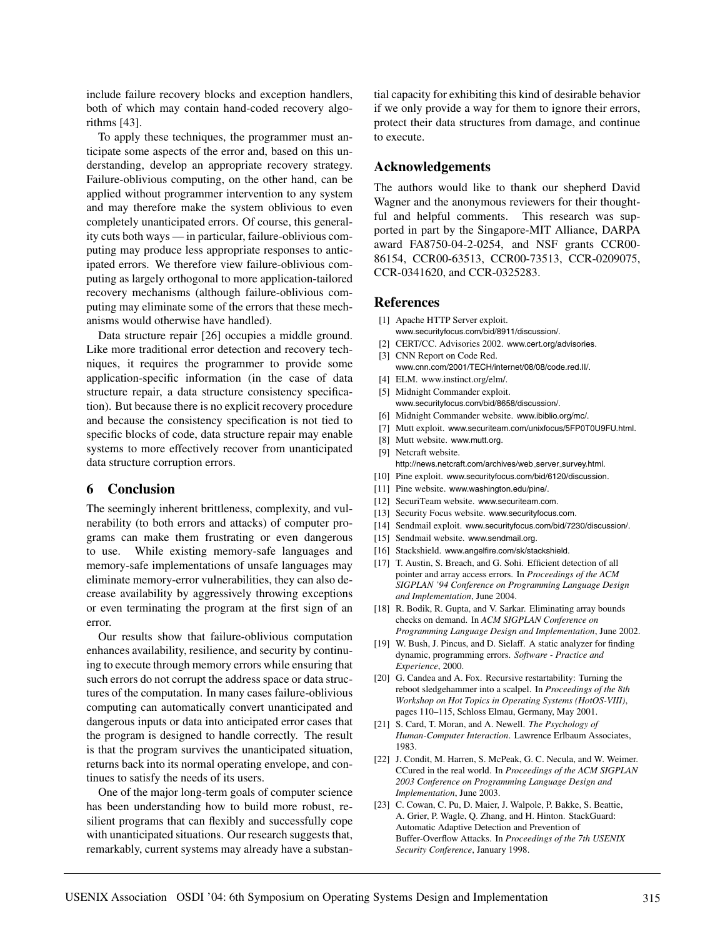include failure recovery blocks and exception handlers, both of which may contain hand-coded recovery algorithms [43].

To apply these techniques, the programmer must anticipate some aspects of the error and, based on this understanding, develop an appropriate recovery strategy. Failure-oblivious computing, on the other hand, can be applied without programmer intervention to any system and may therefore make the system oblivious to even completely unanticipated errors. Of course, this generality cuts both ways — in particular, failure-oblivious computing may produce less appropriate responses to anticipated errors. We therefore view failure-oblivious computing as largely orthogonal to more application-tailored recovery mechanisms (although failure-oblivious computing may eliminate some of the errors that these mechanisms would otherwise have handled).

Data structure repair [26] occupies a middle ground. Like more traditional error detection and recovery techniques, it requires the programmer to provide some application-specific information (in the case of data structure repair, a data structure consistency specification). But because there is no explicit recovery procedure and because the consistency specification is not tied to specific blocks of code, data structure repair may enable systems to more effectively recover from unanticipated data structure corruption errors.

### **6 Conclusion**

The seemingly inherent brittleness, complexity, and vulnerability (to both errors and attacks) of computer programs can make them frustrating or even dangerous to use. While existing memory-safe languages and memory-safe implementations of unsafe languages may eliminate memory-error vulnerabilities, they can also decrease availability by aggressively throwing exceptions or even terminating the program at the first sign of an error.

Our results show that failure-oblivious computation enhances availability, resilience, and security by continuing to execute through memory errors while ensuring that such errors do not corrupt the address space or data structures of the computation. In many cases failure-oblivious computing can automatically convert unanticipated and dangerous inputs or data into anticipated error cases that the program is designed to handle correctly. The result is that the program survives the unanticipated situation, returns back into its normal operating envelope, and continues to satisfy the needs of its users.

One of the major long-term goals of computer science has been understanding how to build more robust, resilient programs that can flexibly and successfully cope with unanticipated situations. Our research suggests that, remarkably, current systems may already have a substantial capacity for exhibiting this kind of desirable behavior if we only provide a way for them to ignore their errors, protect their data structures from damage, and continue to execute.

### **Acknowledgements**

The authors would like to thank our shepherd David Wagner and the anonymous reviewers for their thoughtful and helpful comments. This research was supported in part by the Singapore-MIT Alliance, DARPA award FA8750-04-2-0254, and NSF grants CCR00- 86154, CCR00-63513, CCR00-73513, CCR-0209075, CCR-0341620, and CCR-0325283.

#### **References**

- [1] Apache HTTP Server exploit. www.securityfocus.com/bid/8911/discussion/.
- [2] CERT/CC. Advisories 2002. www.cert.org/advisories.
- [3] CNN Report on Code Red.
- www.cnn.com/2001/TECH/internet/08/08/code.red.II/.
- [4] ELM. www.instinct.org/elm/.
- [5] Midnight Commander exploit.
- www.securityfocus.com/bid/8658/discussion/.
- [6] Midnight Commander website. www.ibiblio.org/mc/.
- [7] Mutt exploit. www.securiteam.com/unixfocus/5FP0T0U9FU.html.
- [8] Mutt website. www.mutt.org.
- [9] Netcraft website.
- http://news.netcraft.com/archives/web\_server\_survey.html.
- [10] Pine exploit. www.securityfocus.com/bid/6120/discussion.
- [11] Pine website. www.washington.edu/pine/.
- [12] SecuriTeam website. www.securiteam.com.
- [13] Security Focus website. www.securityfocus.com.
- [14] Sendmail exploit. www.securityfocus.com/bid/7230/discussion/.
- [15] Sendmail website. www.sendmail.org.
- [16] Stackshield. www.angelfire.com/sk/stackshield.
- [17] T. Austin, S. Breach, and G. Sohi. Efficient detection of all pointer and array access errors. In *Proceedings of the ACM SIGPLAN '94 Conference on Programming Language Design and Implementation*, June 2004.
- [18] R. Bodik, R. Gupta, and V. Sarkar. Eliminating array bounds checks on demand. In *ACM SIGPLAN Conference on Programming Language Design and Implementation*, June 2002.
- [19] W. Bush, J. Pincus, and D. Sielaff. A static analyzer for finding dynamic, programming errors. *Software - Practice and Experience*, 2000.
- [20] G. Candea and A. Fox. Recursive restartability: Turning the reboot sledgehammer into a scalpel. In *Proceedings of the 8th Workshop on Hot Topics in Operating Systems (HotOS-VIII)*, pages 110–115, Schloss Elmau, Germany, May 2001.
- [21] S. Card, T. Moran, and A. Newell. *The Psychology of Human-Computer Interaction*. Lawrence Erlbaum Associates, 1983.
- [22] J. Condit, M. Harren, S. McPeak, G. C. Necula, and W. Weimer. CCured in the real world. In *Proceedings of the ACM SIGPLAN 2003 Conference on Programming Language Design and Implementation*, June 2003.
- [23] C. Cowan, C. Pu, D. Maier, J. Walpole, P. Bakke, S. Beattie, A. Grier, P. Wagle, Q. Zhang, and H. Hinton. StackGuard: Automatic Adaptive Detection and Prevention of Buffer-Overflow Attacks. In *Proceedings of the 7th USENIX Security Conference*, January 1998.